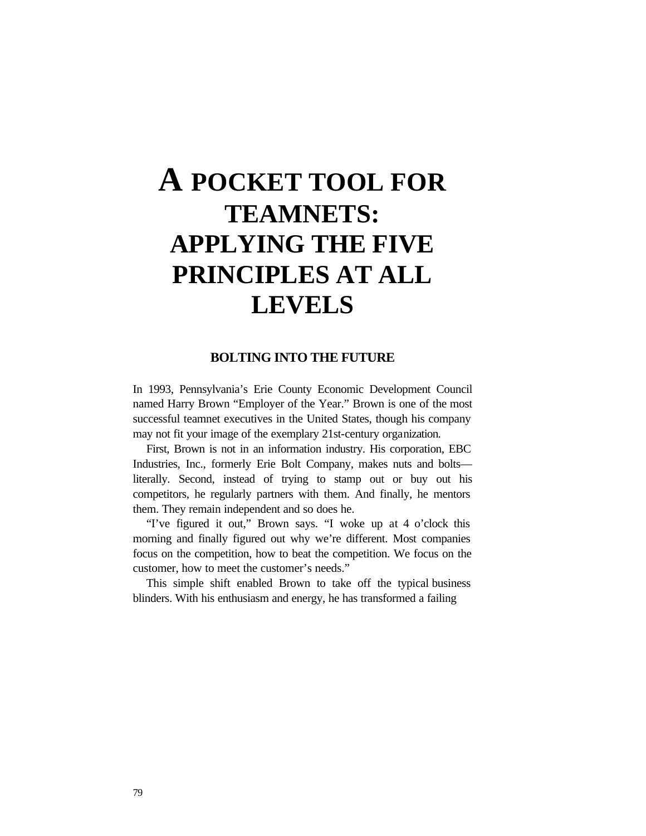# **A POCKET TOOL FOR TEAMNETS: APPLYING THE FIVE PRINCIPLES AT ALL LEVELS**

# **BOLTING INTO THE FUTURE**

In 1993, Pennsylvania's Erie County Economic Development Council named Harry Brown "Employer of the Year." Brown is one of the most successful teamnet executives in the United States, though his company may not fit your image of the exemplary 21st-century organization.

First, Brown is not in an information industry. His corporation, EBC Industries, Inc., formerly Erie Bolt Company, makes nuts and bolts literally. Second, instead of trying to stamp out or buy out his competitors, he regularly partners with them. And finally, he mentors them. They remain independent and so does he.

"I've figured it out," Brown says. "I woke up at 4 o'clock this morning and finally figured out why we're different. Most companies focus on the competition, how to beat the competition. We focus on the customer, how to meet the customer's needs."

This simple shift enabled Brown to take off the typical business blinders. With his enthusiasm and energy, he has transformed a failing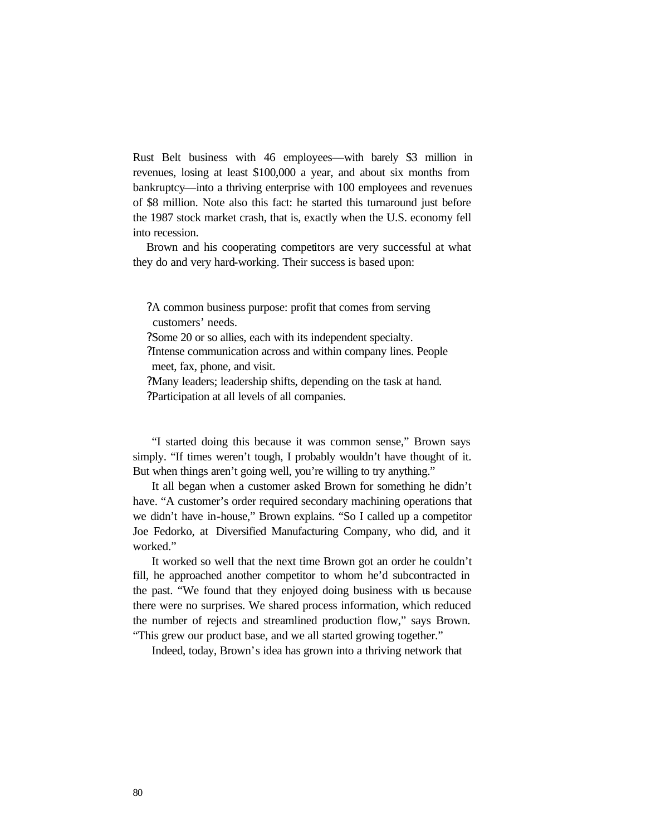Rust Belt business with 46 employees—with barely \$3 million in revenues, losing at least \$100,000 a year, and about six months from bankruptcy—into a thriving enterprise with 100 employees and revenues of \$8 million. Note also this fact: he started this turnaround just before the 1987 stock market crash, that is, exactly when the U.S. economy fell into recession.

Brown and his cooperating competitors are very successful at what they do and very hard-working. Their success is based upon:

?A common business purpose: profit that comes from serving customers' needs.

?Some 20 or so allies, each with its independent specialty. ?Intense communication across and within company lines. People

meet, fax, phone, and visit.

?Many leaders; leadership shifts, depending on the task at hand. ?Participation at all levels of all companies.

"I started doing this because it was common sense," Brown says simply. "If times weren't tough, I probably wouldn't have thought of it. But when things aren't going well, you're willing to try anything."

It all began when a customer asked Brown for something he didn't have. "A customer's order required secondary machining operations that we didn't have in-house," Brown explains. "So I called up a competitor Joe Fedorko, at Diversified Manufacturing Company, who did, and it worked."

It worked so well that the next time Brown got an order he couldn't fill, he approached another competitor to whom he'd subcontracted in the past. "We found that they enjoyed doing business with us because there were no surprises. We shared process information, which reduced the number of rejects and streamlined production flow," says Brown. "This grew our product base, and we all started growing together."

Indeed, today, Brown's idea has grown into a thriving network that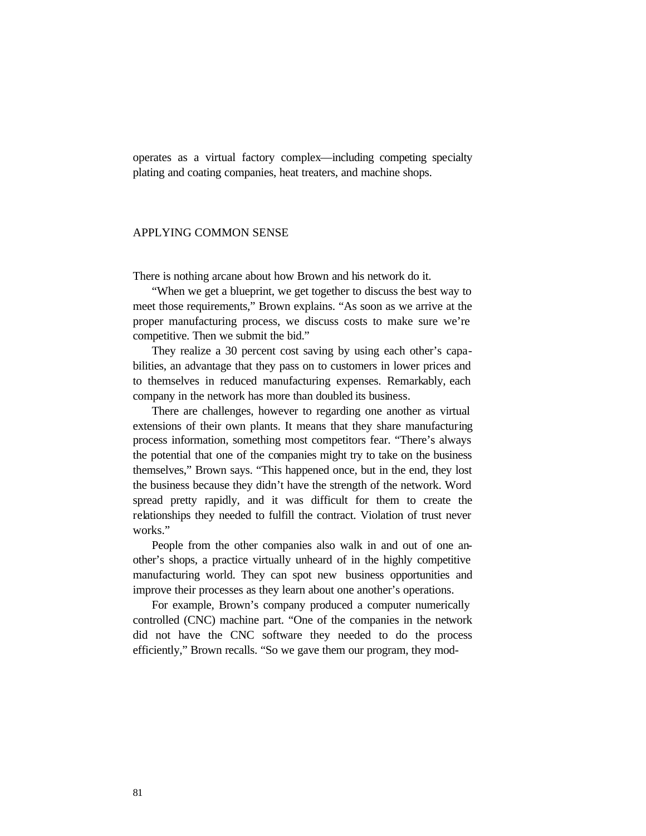operates as a virtual factory complex—including competing specialty plating and coating companies, heat treaters, and machine shops.

## APPLYING COMMON SENSE

There is nothing arcane about how Brown and his network do it.

"When we get a blueprint, we get together to discuss the best way to meet those requirements," Brown explains. "As soon as we arrive at the proper manufacturing process, we discuss costs to make sure we're competitive. Then we submit the bid."

They realize a 30 percent cost saving by using each other's capabilities, an advantage that they pass on to customers in lower prices and to themselves in reduced manufacturing expenses. Remarkably, each company in the network has more than doubled its business.

There are challenges, however to regarding one another as virtual extensions of their own plants. It means that they share manufacturing process information, something most competitors fear. "There's always the potential that one of the companies might try to take on the business themselves," Brown says. "This happened once, but in the end, they lost the business because they didn't have the strength of the network. Word spread pretty rapidly, and it was difficult for them to create the relationships they needed to fulfill the contract. Violation of trust never works."

People from the other companies also walk in and out of one another's shops, a practice virtually unheard of in the highly competitive manufacturing world. They can spot new business opportunities and improve their processes as they learn about one another's operations.

For example, Brown's company produced a computer numerically controlled (CNC) machine part. "One of the companies in the network did not have the CNC software they needed to do the process efficiently," Brown recalls. "So we gave them our program, they mod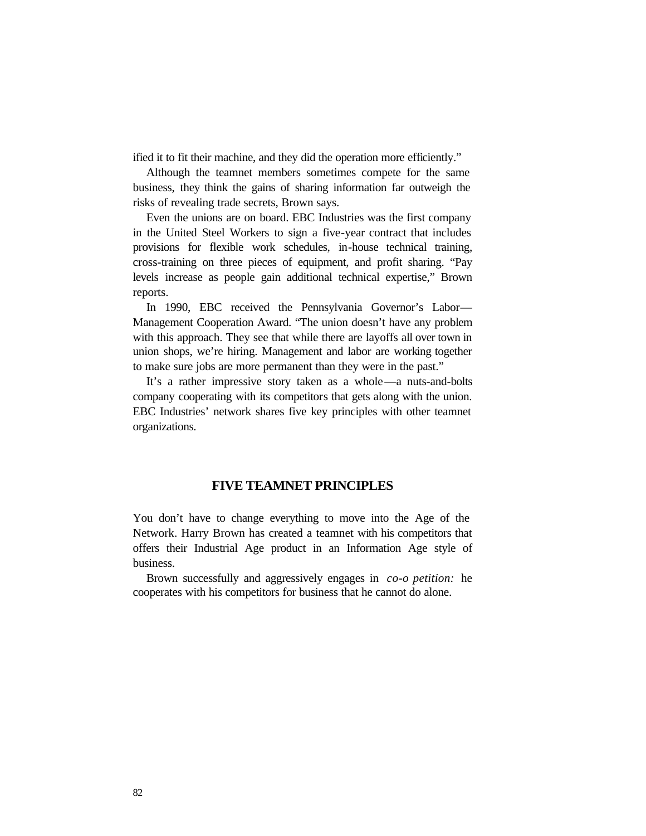ified it to fit their machine, and they did the operation more efficiently."

Although the teamnet members sometimes compete for the same business, they think the gains of sharing information far outweigh the risks of revealing trade secrets, Brown says.

Even the unions are on board. EBC Industries was the first company in the United Steel Workers to sign a five-year contract that includes provisions for flexible work schedules, in-house technical training, cross-training on three pieces of equipment, and profit sharing. "Pay levels increase as people gain additional technical expertise," Brown reports.

In 1990, EBC received the Pennsylvania Governor's Labor— Management Cooperation Award. "The union doesn't have any problem with this approach. They see that while there are layoffs all over town in union shops, we're hiring. Management and labor are working together to make sure jobs are more permanent than they were in the past."

It's a rather impressive story taken as a whole—a nuts-and-bolts company cooperating with its competitors that gets along with the union. EBC Industries' network shares five key principles with other teamnet organizations.

# **FIVE TEAMNET PRINCIPLES**

You don't have to change everything to move into the Age of the Network. Harry Brown has created a teamnet with his competitors that offers their Industrial Age product in an Information Age style of business.

Brown successfully and aggressively engages in *co-o petition:* he cooperates with his competitors for business that he cannot do alone.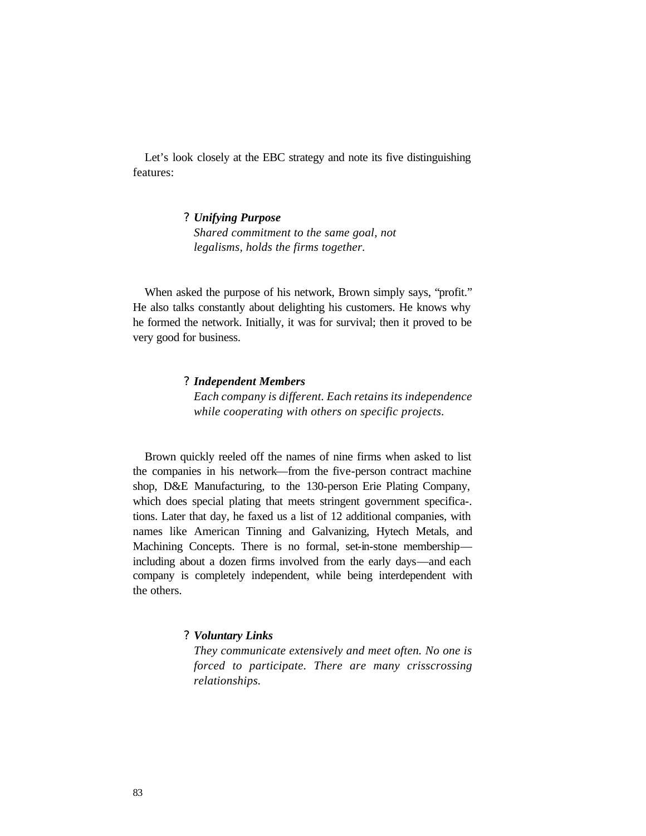Let's look closely at the EBC strategy and note its five distinguishing features:

*? Unifying Purpose*

*Shared commitment to the same goal, not legalisms, holds the firms together.*

When asked the purpose of his network, Brown simply says, "profit." He also talks constantly about delighting his customers. He knows why he formed the network. Initially, it was for survival; then it proved to be very good for business.

## *? Independent Members*

*Each company is different. Each retains its independence while cooperating with others on specific projects.*

Brown quickly reeled off the names of nine firms when asked to list the companies in his network—from the five-person contract machine shop, D&E Manufacturing, to the 130-person Erie Plating Company, which does special plating that meets stringent government specifica-. tions. Later that day, he faxed us a list of 12 additional companies, with names like American Tinning and Galvanizing, Hytech Metals, and Machining Concepts. There is no formal, set-in-stone membership including about a dozen firms involved from the early days—and each company is completely independent, while being interdependent with the others.

# *? Voluntary Links*

*They communicate extensively and meet often. No one is forced to participate. There are many crisscrossing relationships.*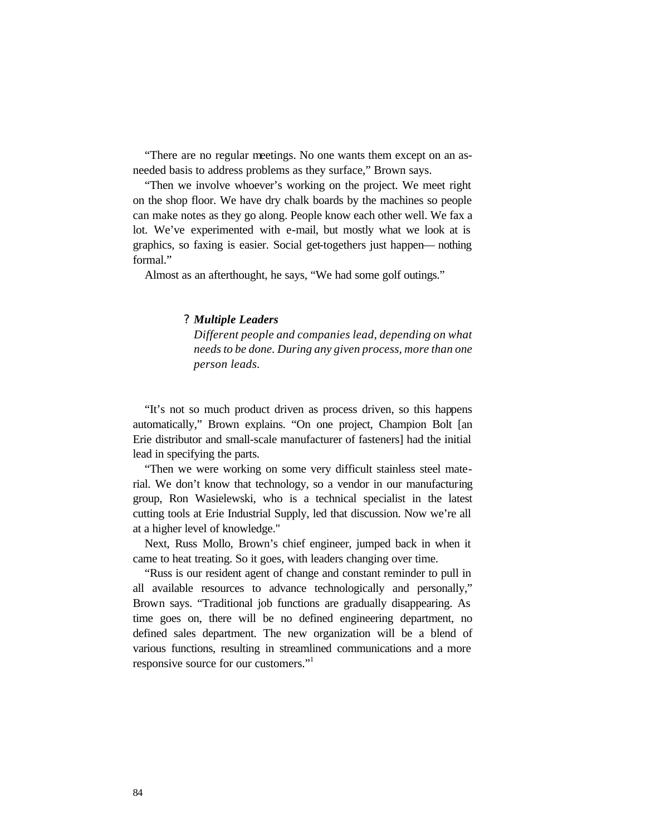"There are no regular meetings. No one wants them except on an asneeded basis to address problems as they surface," Brown says.

"Then we involve whoever's working on the project. We meet right on the shop floor. We have dry chalk boards by the machines so people can make notes as they go along. People know each other well. We fax a lot. We've experimented with e-mail, but mostly what we look at is graphics, so faxing is easier. Social get-togethers just happen— nothing formal."

Almost as an afterthought, he says, "We had some golf outings."

## *? Multiple Leaders*

*Different people and companies lead, depending on what needs to be done. During any given process, more than one person leads.*

"It's not so much product driven as process driven, so this happens automatically," Brown explains. "On one project, Champion Bolt [an Erie distributor and small-scale manufacturer of fasteners] had the initial lead in specifying the parts.

"Then we were working on some very difficult stainless steel material. We don't know that technology, so a vendor in our manufacturing group, Ron Wasielewski, who is a technical specialist in the latest cutting tools at Erie Industrial Supply, led that discussion. Now we're all at a higher level of knowledge."

Next, Russ Mollo, Brown's chief engineer, jumped back in when it came to heat treating. So it goes, with leaders changing over time.

"Russ is our resident agent of change and constant reminder to pull in all available resources to advance technologically and personally," Brown says. "Traditional job functions are gradually disappearing. As time goes on, there will be no defined engineering department, no defined sales department. The new organization will be a blend of various functions, resulting in streamlined communications and a more responsive source for our customers."<sup>1</sup>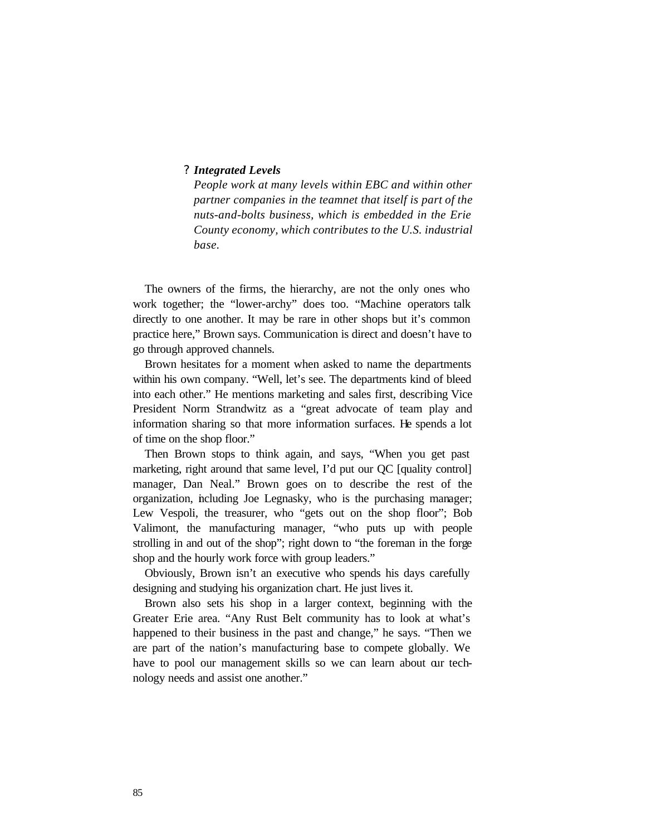## *? Integrated Levels*

*People work at many levels within EBC and within other partner companies in the teamnet that itself is part of the nuts-and-bolts business, which is embedded in the Erie County economy, which contributes to the U.S. industrial base.*

The owners of the firms, the hierarchy, are not the only ones who work together; the "lower-archy" does too. "Machine operators talk directly to one another. It may be rare in other shops but it's common practice here," Brown says. Communication is direct and doesn't have to go through approved channels.

Brown hesitates for a moment when asked to name the departments within his own company. "Well, let's see. The departments kind of bleed into each other." He mentions marketing and sales first, describing Vice President Norm Strandwitz as a "great advocate of team play and information sharing so that more information surfaces. He spends a lot of time on the shop floor."

Then Brown stops to think again, and says, "When you get past marketing, right around that same level, I'd put our QC [quality control] manager, Dan Neal." Brown goes on to describe the rest of the organization, including Joe Legnasky, who is the purchasing manager; Lew Vespoli, the treasurer, who "gets out on the shop floor"; Bob Valimont, the manufacturing manager, "who puts up with people strolling in and out of the shop"; right down to "the foreman in the forge shop and the hourly work force with group leaders."

Obviously, Brown isn't an executive who spends his days carefully designing and studying his organization chart. He just lives it.

Brown also sets his shop in a larger context, beginning with the Greater Erie area. "Any Rust Belt community has to look at what's happened to their business in the past and change," he says. "Then we are part of the nation's manufacturing base to compete globally. We have to pool our management skills so we can learn about our technology needs and assist one another."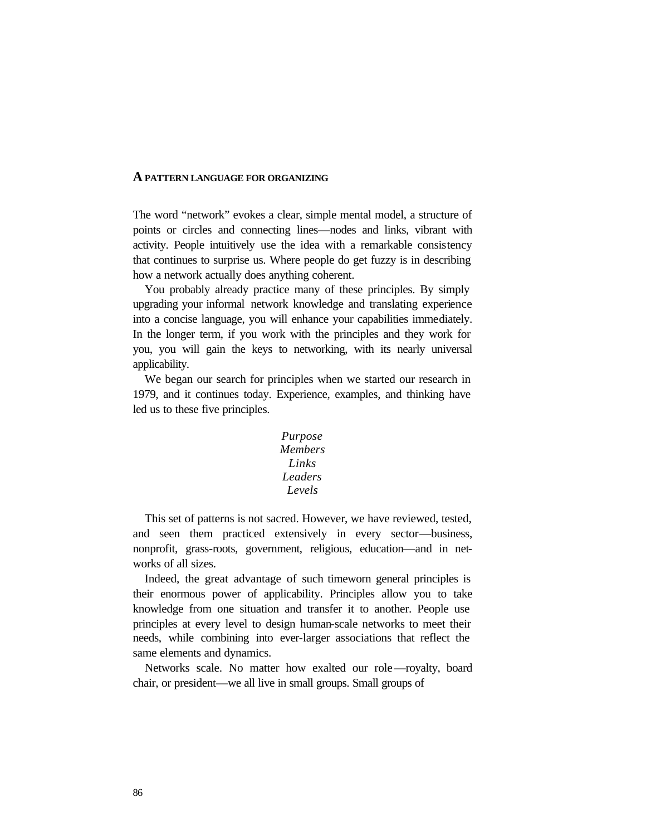## **A PATTERN LANGUAGE FOR ORGANIZING**

The word "network" evokes a clear, simple mental model, a structure of points or circles and connecting lines—nodes and links, vibrant with activity. People intuitively use the idea with a remarkable consistency that continues to surprise us. Where people do get fuzzy is in describing how a network actually does anything coherent.

You probably already practice many of these principles. By simply upgrading your informal network knowledge and translating experience into a concise language, you will enhance your capabilities immediately. In the longer term, if you work with the principles and they work for you, you will gain the keys to networking, with its nearly universal applicability.

We began our search for principles when we started our research in 1979, and it continues today. Experience, examples, and thinking have led us to these five principles.

*Purpose Members Links Leaders Levels*

This set of patterns is not sacred. However, we have reviewed, tested, and seen them practiced extensively in every sector—business, nonprofit, grass-roots, government, religious, education—and in networks of all sizes.

Indeed, the great advantage of such timeworn general principles is their enormous power of applicability. Principles allow you to take knowledge from one situation and transfer it to another. People use principles at every level to design human-scale networks to meet their needs, while combining into ever-larger associations that reflect the same elements and dynamics.

Networks scale. No matter how exalted our role—royalty, board chair, or president—we all live in small groups. Small groups of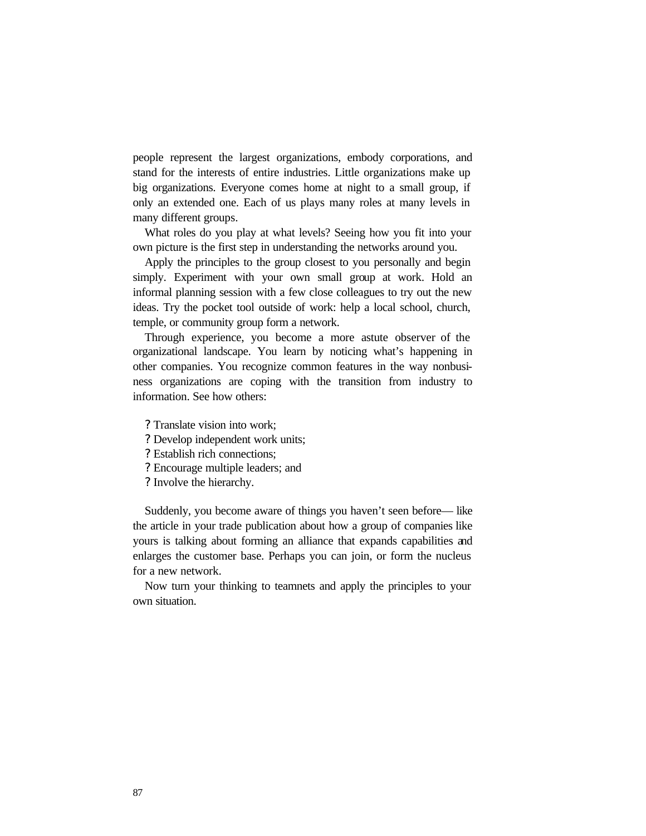people represent the largest organizations, embody corporations, and stand for the interests of entire industries. Little organizations make up big organizations. Everyone comes home at night to a small group, if only an extended one. Each of us plays many roles at many levels in many different groups.

What roles do you play at what levels? Seeing how you fit into your own picture is the first step in understanding the networks around you.

Apply the principles to the group closest to you personally and begin simply. Experiment with your own small group at work. Hold an informal planning session with a few close colleagues to try out the new ideas. Try the pocket tool outside of work: help a local school, church, temple, or community group form a network.

Through experience, you become a more astute observer of the organizational landscape. You learn by noticing what's happening in other companies. You recognize common features in the way nonbusiness organizations are coping with the transition from industry to information. See how others:

- ? Translate vision into work;
- ? Develop independent work units;
- ? Establish rich connections;
- ? Encourage multiple leaders; and
- ? Involve the hierarchy.

Suddenly, you become aware of things you haven't seen before— like the article in your trade publication about how a group of companies like yours is talking about forming an alliance that expands capabilities and enlarges the customer base. Perhaps you can join, or form the nucleus for a new network.

Now turn your thinking to teamnets and apply the principles to your own situation.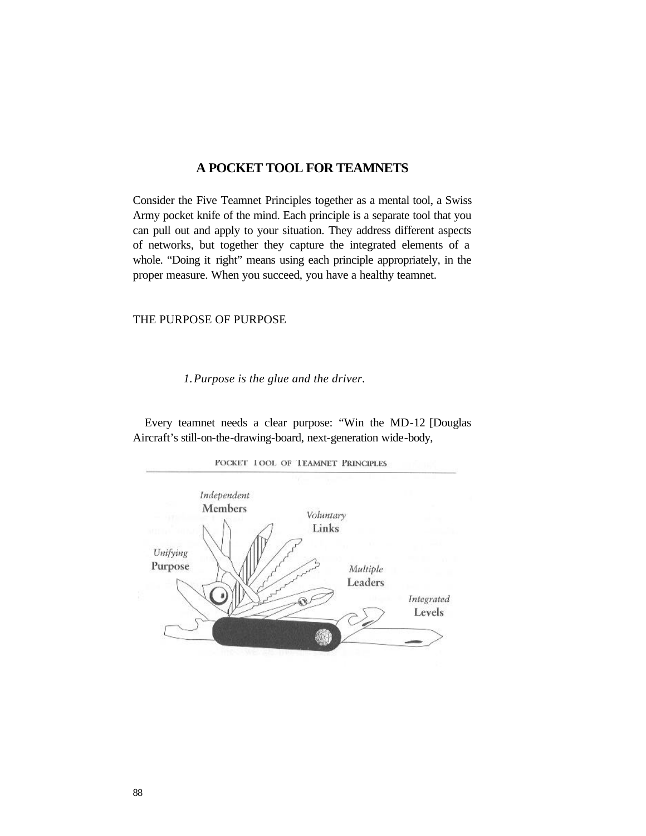# **A POCKET TOOL FOR TEAMNETS**

Consider the Five Teamnet Principles together as a mental tool, a Swiss Army pocket knife of the mind. Each principle is a separate tool that you can pull out and apply to your situation. They address different aspects of networks, but together they capture the integrated elements of a whole. "Doing it right" means using each principle appropriately, in the proper measure. When you succeed, you have a healthy teamnet.

# THE PURPOSE OF PURPOSE

# *1.Purpose is the glue and the driver.*

Every teamnet needs a clear purpose: "Win the MD-12 [Douglas Aircraft's still-on-the-drawing-board, next-generation wide-body,

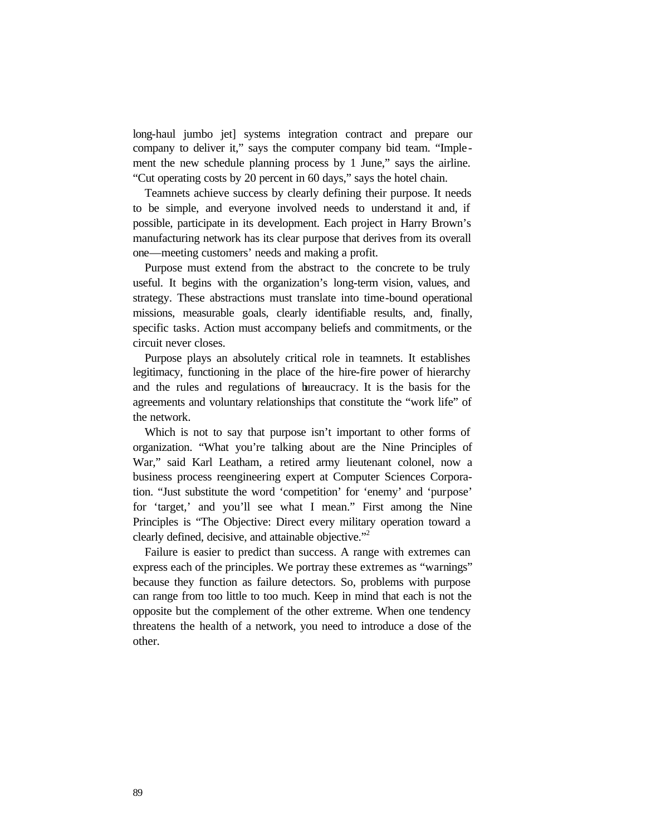long-haul jumbo jet] systems integration contract and prepare our company to deliver it," says the computer company bid team. "Imple ment the new schedule planning process by 1 June," says the airline. "Cut operating costs by 20 percent in 60 days," says the hotel chain.

Teamnets achieve success by clearly defining their purpose. It needs to be simple, and everyone involved needs to understand it and, if possible, participate in its development. Each project in Harry Brown's manufacturing network has its clear purpose that derives from its overall one—meeting customers' needs and making a profit.

Purpose must extend from the abstract to the concrete to be truly useful. It begins with the organization's long-term vision, values, and strategy. These abstractions must translate into time-bound operational missions, measurable goals, clearly identifiable results, and, finally, specific tasks. Action must accompany beliefs and commitments, or the circuit never closes.

Purpose plays an absolutely critical role in teamnets. It establishes legitimacy, functioning in the place of the hire-fire power of hierarchy and the rules and regulations of bureaucracy. It is the basis for the agreements and voluntary relationships that constitute the "work life" of the network.

Which is not to say that purpose isn't important to other forms of organization. "What you're talking about are the Nine Principles of War," said Karl Leatham, a retired army lieutenant colonel, now a business process reengineering expert at Computer Sciences Corporation. "Just substitute the word 'competition' for 'enemy' and 'purpose' for 'target,' and you'll see what I mean." First among the Nine Principles is "The Objective: Direct every military operation toward a clearly defined, decisive, and attainable objective."<sup>2</sup>

Failure is easier to predict than success. A range with extremes can express each of the principles. We portray these extremes as "warnings" because they function as failure detectors. So, problems with purpose can range from too little to too much. Keep in mind that each is not the opposite but the complement of the other extreme. When one tendency threatens the health of a network, you need to introduce a dose of the other.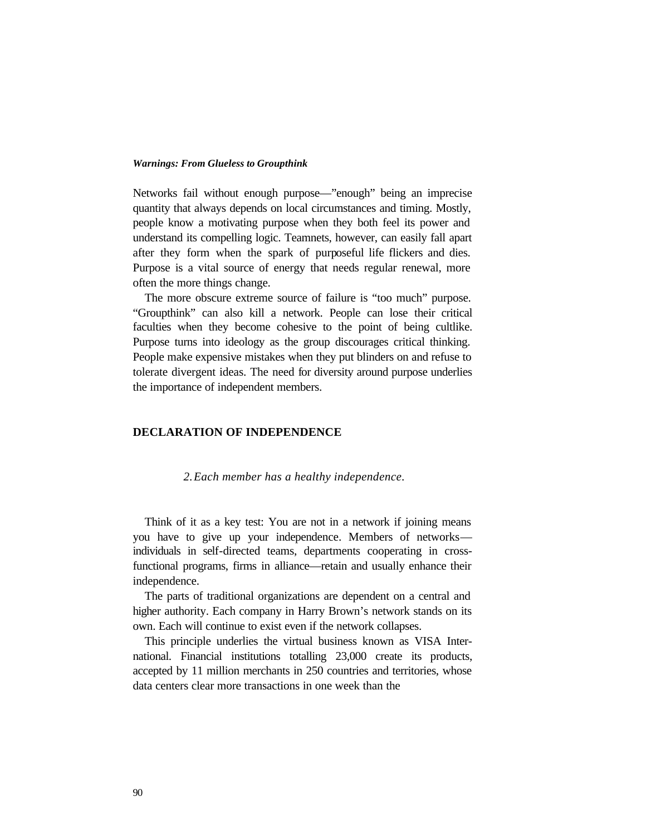#### *Warnings: From Glueless to Groupthink*

Networks fail without enough purpose—"enough" being an imprecise quantity that always depends on local circumstances and timing. Mostly, people know a motivating purpose when they both feel its power and understand its compelling logic. Teamnets, however, can easily fall apart after they form when the spark of purposeful life flickers and dies. Purpose is a vital source of energy that needs regular renewal, more often the more things change.

The more obscure extreme source of failure is "too much" purpose. "Groupthink" can also kill a network. People can lose their critical faculties when they become cohesive to the point of being cultlike. Purpose turns into ideology as the group discourages critical thinking. People make expensive mistakes when they put blinders on and refuse to tolerate divergent ideas. The need for diversity around purpose underlies the importance of independent members.

## **DECLARATION OF INDEPENDENCE**

## *2.Each member has a healthy independence.*

Think of it as a key test: You are not in a network if joining means you have to give up your independence. Members of networks individuals in self-directed teams, departments cooperating in crossfunctional programs, firms in alliance—retain and usually enhance their independence.

The parts of traditional organizations are dependent on a central and higher authority. Each company in Harry Brown's network stands on its own. Each will continue to exist even if the network collapses.

This principle underlies the virtual business known as VISA International. Financial institutions totalling 23,000 create its products, accepted by 11 million merchants in 250 countries and territories, whose data centers clear more transactions in one week than the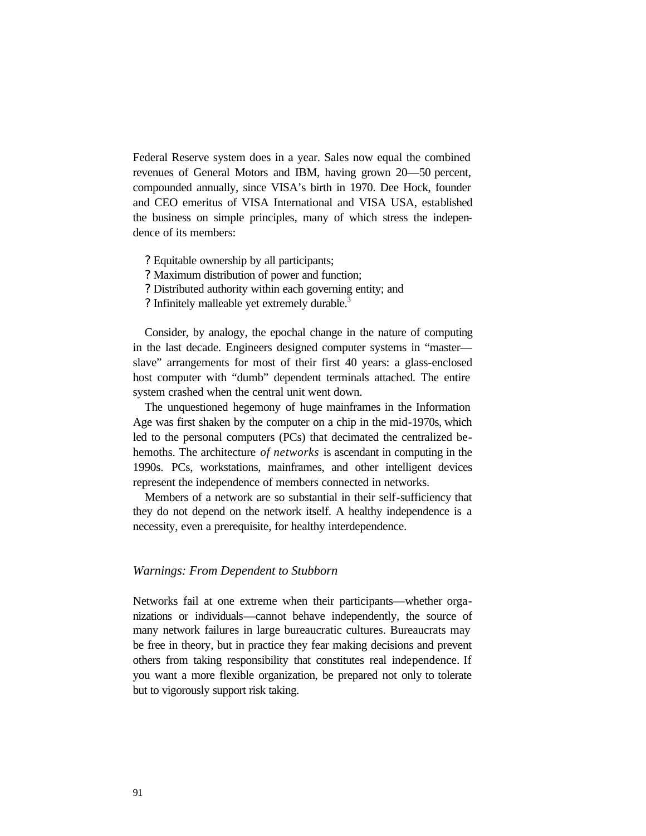Federal Reserve system does in a year. Sales now equal the combined revenues of General Motors and IBM, having grown 20—50 percent, compounded annually, since VISA's birth in 1970. Dee Hock, founder and CEO emeritus of VISA International and VISA USA, established the business on simple principles, many of which stress the independence of its members:

- ? Equitable ownership by all participants;
- ? Maximum distribution of power and function;
- ? Distributed authority within each governing entity; and
- ? Infinitely malleable yet extremely durable.<sup>3</sup>

Consider, by analogy, the epochal change in the nature of computing in the last decade. Engineers designed computer systems in "master slave" arrangements for most of their first 40 years: a glass-enclosed host computer with "dumb" dependent terminals attached. The entire system crashed when the central unit went down.

The unquestioned hegemony of huge mainframes in the Information Age was first shaken by the computer on a chip in the mid-1970s, which led to the personal computers (PCs) that decimated the centralized behemoths. The architecture *of networks* is ascendant in computing in the 1990s. PCs, workstations, mainframes, and other intelligent devices represent the independence of members connected in networks.

Members of a network are so substantial in their self-sufficiency that they do not depend on the network itself. A healthy independence is a necessity, even a prerequisite, for healthy interdependence.

## *Warnings: From Dependent to Stubborn*

Networks fail at one extreme when their participants—whether organizations or individuals—cannot behave independently, the source of many network failures in large bureaucratic cultures. Bureaucrats may be free in theory, but in practice they fear making decisions and prevent others from taking responsibility that constitutes real independence. If you want a more flexible organization, be prepared not only to tolerate but to vigorously support risk taking.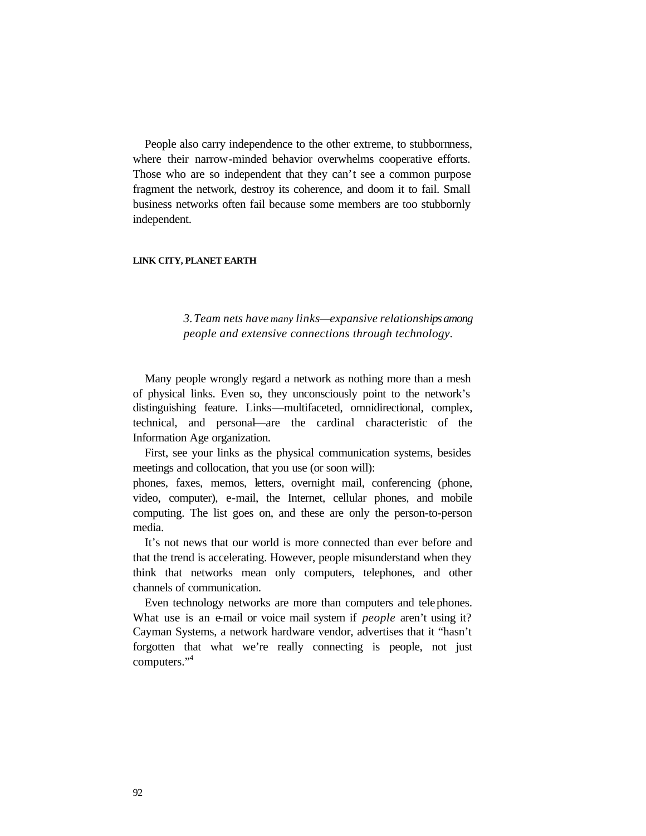People also carry independence to the other extreme, to stubbornness, where their narrow-minded behavior overwhelms cooperative efforts. Those who are so independent that they can't see a common purpose fragment the network, destroy its coherence, and doom it to fail. Small business networks often fail because some members are too stubbornly independent.

## **LINK CITY, PLANET EARTH**

# *3.Team nets have many links—expansive relationships among people and extensive connections through technology.*

Many people wrongly regard a network as nothing more than a mesh of physical links. Even so, they unconsciously point to the network's distinguishing feature. Links—multifaceted, omnidirectional, complex, technical, and personal—are the cardinal characteristic of the Information Age organization.

First, see your links as the physical communication systems, besides meetings and collocation, that you use (or soon will):

phones, faxes, memos, letters, overnight mail, conferencing (phone, video, computer), e-mail, the Internet, cellular phones, and mobile computing. The list goes on, and these are only the person-to-person media.

It's not news that our world is more connected than ever before and that the trend is accelerating. However, people misunderstand when they think that networks mean only computers, telephones, and other channels of communication.

Even technology networks are more than computers and telephones. What use is an e-mail or voice mail system if *people* aren't using it? Cayman Systems, a network hardware vendor, advertises that it "hasn't forgotten that what we're really connecting is people, not just computers."<sup>4</sup>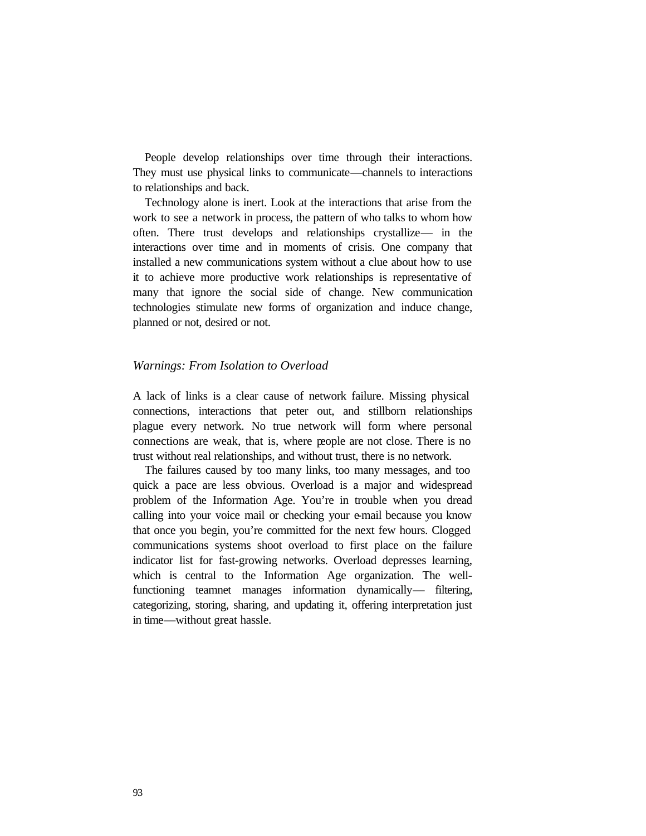People develop relationships over time through their interactions. They must use physical links to communicate—channels to interactions to relationships and back.

Technology alone is inert. Look at the interactions that arise from the work to see a network in process, the pattern of who talks to whom how often. There trust develops and relationships crystallize— in the interactions over time and in moments of crisis. One company that installed a new communications system without a clue about how to use it to achieve more productive work relationships is representative of many that ignore the social side of change. New communication technologies stimulate new forms of organization and induce change, planned or not, desired or not.

## *Warnings: From Isolation to Overload*

A lack of links is a clear cause of network failure. Missing physical connections, interactions that peter out, and stillborn relationships plague every network. No true network will form where personal connections are weak, that is, where people are not close. There is no trust without real relationships, and without trust, there is no network.

The failures caused by too many links, too many messages, and too quick a pace are less obvious. Overload is a major and widespread problem of the Information Age. You're in trouble when you dread calling into your voice mail or checking your e-mail because you know that once you begin, you're committed for the next few hours. Clogged communications systems shoot overload to first place on the failure indicator list for fast-growing networks. Overload depresses learning, which is central to the Information Age organization. The wellfunctioning teamnet manages information dynamically— filtering, categorizing, storing, sharing, and updating it, offering interpretation just in time—without great hassle.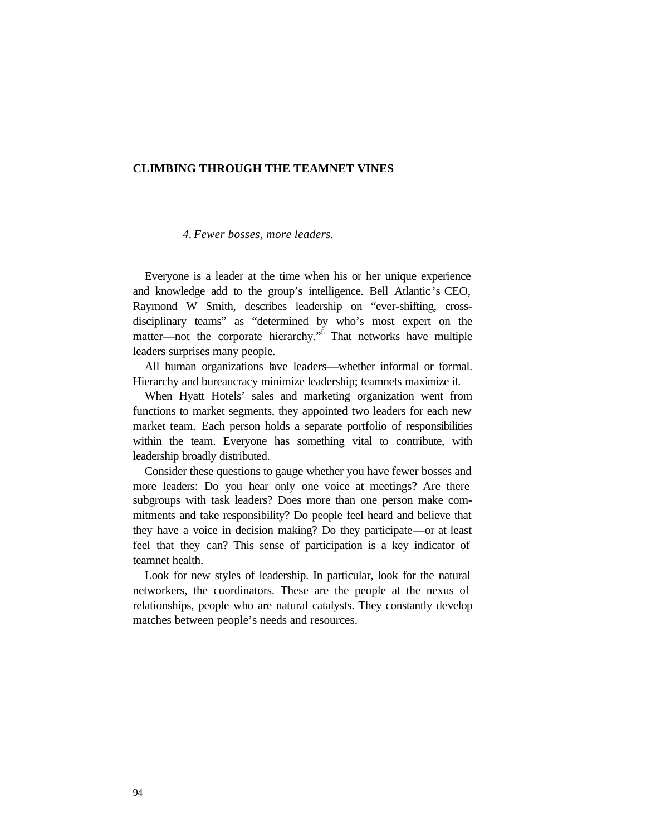# **CLIMBING THROUGH THE TEAMNET VINES**

## *4. Fewer bosses, more leaders.*

Everyone is a leader at the time when his or her unique experience and knowledge add to the group's intelligence. Bell Atlantic's CEO, Raymond W Smith, describes leadership on "ever-shifting, crossdisciplinary teams" as "determined by who's most expert on the matter—not the corporate hierarchy."<sup>5</sup> That networks have multiple leaders surprises many people.

All human organizations have leaders—whether informal or formal. Hierarchy and bureaucracy minimize leadership; teamnets maximize it.

When Hyatt Hotels' sales and marketing organization went from functions to market segments, they appointed two leaders for each new market team. Each person holds a separate portfolio of responsibilities within the team. Everyone has something vital to contribute, with leadership broadly distributed.

Consider these questions to gauge whether you have fewer bosses and more leaders: Do you hear only one voice at meetings? Are there subgroups with task leaders? Does more than one person make commitments and take responsibility? Do people feel heard and believe that they have a voice in decision making? Do they participate—or at least feel that they can? This sense of participation is a key indicator of teamnet health.

Look for new styles of leadership. In particular, look for the natural networkers, the coordinators. These are the people at the nexus of relationships, people who are natural catalysts. They constantly develop matches between people's needs and resources.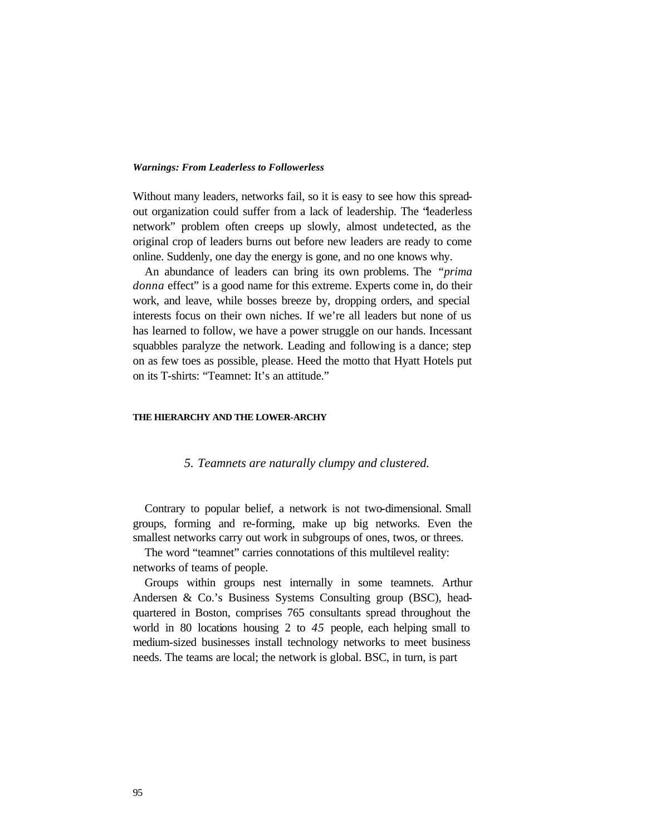## *Warnings: From Leaderless to Followerless*

Without many leaders, networks fail, so it is easy to see how this spreadout organization could suffer from a lack of leadership. The "leaderless network" problem often creeps up slowly, almost undetected, as the original crop of leaders burns out before new leaders are ready to come online. Suddenly, one day the energy is gone, and no one knows why.

An abundance of leaders can bring its own problems. The *"prima donna* effect" is a good name for this extreme. Experts come in, do their work, and leave, while bosses breeze by, dropping orders, and special interests focus on their own niches. If we're all leaders but none of us has learned to follow, we have a power struggle on our hands. Incessant squabbles paralyze the network. Leading and following is a dance; step on as few toes as possible, please. Heed the motto that Hyatt Hotels put on its T-shirts: "Teamnet: It's an attitude."

## **THE HIERARCHY AND THE LOWER-ARCHY**

## *5. Teamnets are naturally clumpy and clustered.*

Contrary to popular belief, a network is not two-dimensional. Small groups, forming and re-forming, make up big networks. Even the smallest networks carry out work in subgroups of ones, twos, or threes.

The word "teamnet" carries connotations of this multilevel reality: networks of teams of people.

Groups within groups nest internally in some teamnets. Arthur Andersen & Co.'s Business Systems Consulting group (BSC), headquartered in Boston, comprises 765 consultants spread throughout the world in 80 locations housing 2 to *45* people, each helping small to medium-sized businesses install technology networks to meet business needs. The teams are local; the network is global. BSC, in turn, is part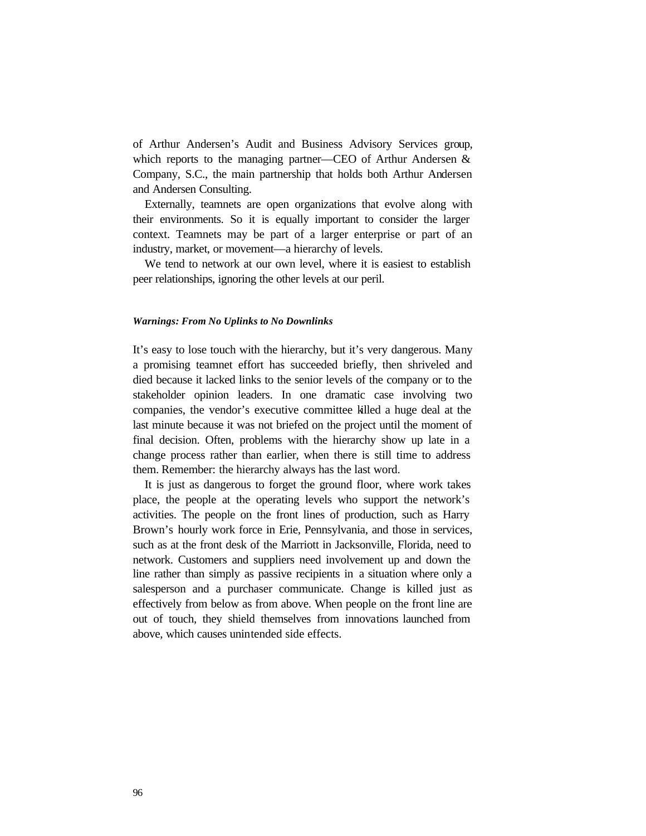of Arthur Andersen's Audit and Business Advisory Services group, which reports to the managing partner—CEO of Arthur Andersen & Company, S.C., the main partnership that holds both Arthur Andersen and Andersen Consulting.

Externally, teamnets are open organizations that evolve along with their environments. So it is equally important to consider the larger context. Teamnets may be part of a larger enterprise or part of an industry, market, or movement—a hierarchy of levels.

We tend to network at our own level, where it is easiest to establish peer relationships, ignoring the other levels at our peril.

#### *Warnings: From No Uplinks to No Downlinks*

It's easy to lose touch with the hierarchy, but it's very dangerous. Many a promising teamnet effort has succeeded briefly, then shriveled and died because it lacked links to the senior levels of the company or to the stakeholder opinion leaders. In one dramatic case involving two companies, the vendor's executive committee killed a huge deal at the last minute because it was not briefed on the project until the moment of final decision. Often, problems with the hierarchy show up late in a change process rather than earlier, when there is still time to address them. Remember: the hierarchy always has the last word.

It is just as dangerous to forget the ground floor, where work takes place, the people at the operating levels who support the network's activities. The people on the front lines of production, such as Harry Brown's hourly work force in Erie, Pennsylvania, and those in services, such as at the front desk of the Marriott in Jacksonville, Florida, need to network. Customers and suppliers need involvement up and down the line rather than simply as passive recipients in a situation where only a salesperson and a purchaser communicate. Change is killed just as effectively from below as from above. When people on the front line are out of touch, they shield themselves from innovations launched from above, which causes unintended side effects.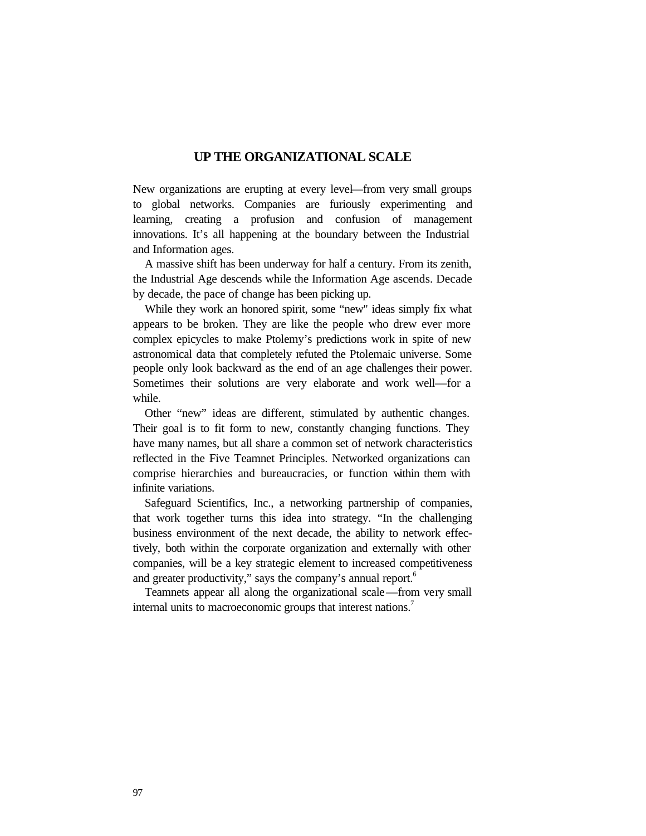# **UP THE ORGANIZATIONAL SCALE**

New organizations are erupting at every level—from very small groups to global networks. Companies are furiously experimenting and learning, creating a profusion and confusion of management innovations. It's all happening at the boundary between the Industrial and Information ages.

A massive shift has been underway for half a century. From its zenith, the Industrial Age descends while the Information Age ascends. Decade by decade, the pace of change has been picking up.

While they work an honored spirit, some "new" ideas simply fix what appears to be broken. They are like the people who drew ever more complex epicycles to make Ptolemy's predictions work in spite of new astronomical data that completely refuted the Ptolemaic universe. Some people only look backward as the end of an age challenges their power. Sometimes their solutions are very elaborate and work well—for a while.

Other "new" ideas are different, stimulated by authentic changes. Their goal is to fit form to new, constantly changing functions. They have many names, but all share a common set of network characteristics reflected in the Five Teamnet Principles. Networked organizations can comprise hierarchies and bureaucracies, or function within them with infinite variations.

Safeguard Scientifics, Inc., a networking partnership of companies, that work together turns this idea into strategy. "In the challenging business environment of the next decade, the ability to network effectively, both within the corporate organization and externally with other companies, will be a key strategic element to increased competitiveness and greater productivity," says the company's annual report.<sup>6</sup>

Teamnets appear all along the organizational scale—from very small internal units to macroeconomic groups that interest nations.<sup>7</sup>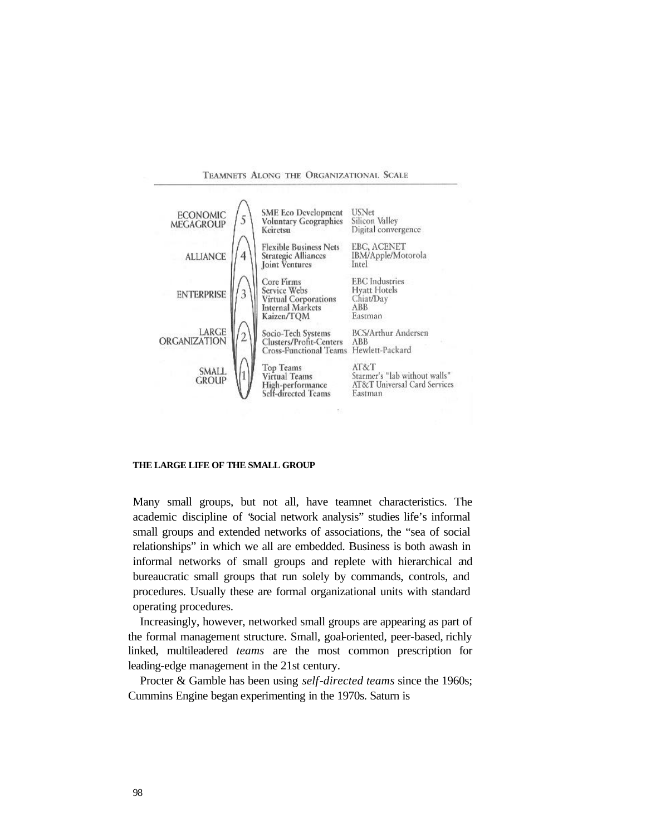#### TEAMNETS ALONG THE ORGANIZATIONAL SCALE



#### **THE LARGE LIFE OF THE SMALL GROUP**

Many small groups, but not all, have teamnet characteristics. The academic discipline of "social network analysis" studies life's informal small groups and extended networks of associations, the "sea of social relationships" in which we all are embedded. Business is both awash in informal networks of small groups and replete with hierarchical and bureaucratic small groups that run solely by commands, controls, and procedures. Usually these are formal organizational units with standard operating procedures.

Increasingly, however, networked small groups are appearing as part of the formal management structure. Small, goal-oriented, peer-based, richly linked, multileadered *teams* are the most common prescription for leading-edge management in the 21st century.

Procter & Gamble has been using *self-directed teams* since the 1960s; Cummins Engine began experimenting in the 1970s. Saturn is

98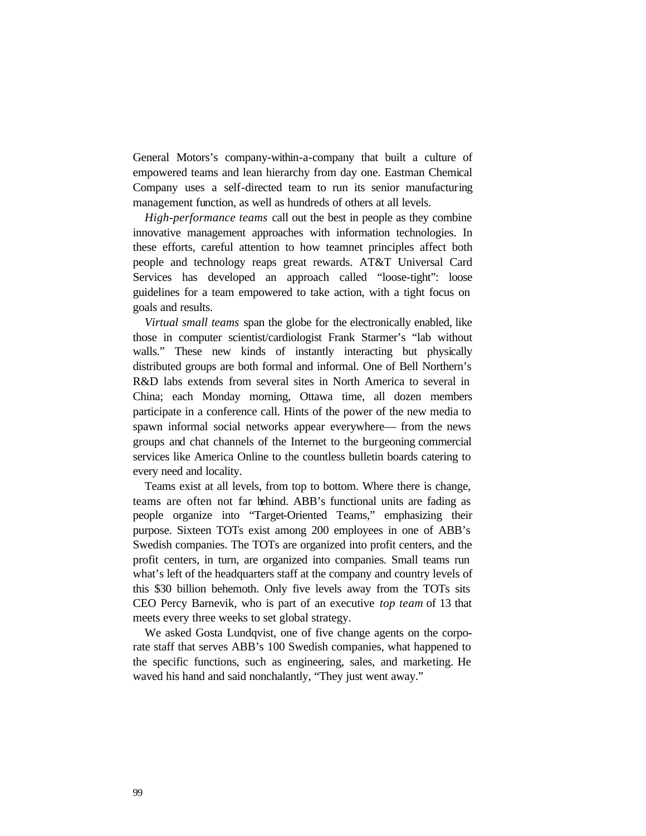General Motors's company-within-a-company that built a culture of empowered teams and lean hierarchy from day one. Eastman Chemical Company uses a self-directed team to run its senior manufacturing management function, as well as hundreds of others at all levels.

*High-performance teams* call out the best in people as they combine innovative management approaches with information technologies. In these efforts, careful attention to how teamnet principles affect both people and technology reaps great rewards. AT&T Universal Card Services has developed an approach called "loose-tight": loose guidelines for a team empowered to take action, with a tight focus on goals and results.

*Virtual small teams* span the globe for the electronically enabled, like those in computer scientist/cardiologist Frank Starmer's "lab without walls." These new kinds of instantly interacting but physically distributed groups are both formal and informal. One of Bell Northern's R&D labs extends from several sites in North America to several in China; each Monday morning, Ottawa time, all dozen members participate in a conference call. Hints of the power of the new media to spawn informal social networks appear everywhere— from the news groups and chat channels of the Internet to the burgeoning commercial services like America Online to the countless bulletin boards catering to every need and locality.

Teams exist at all levels, from top to bottom. Where there is change, teams are often not far behind. ABB's functional units are fading as people organize into "Target-Oriented Teams," emphasizing their purpose. Sixteen TOTs exist among 200 employees in one of ABB's Swedish companies. The TOTs are organized into profit centers, and the profit centers, in turn, are organized into companies. Small teams run what's left of the headquarters staff at the company and country levels of this \$30 billion behemoth. Only five levels away from the TOTs sits CEO Percy Barnevik, who is part of an executive *top team* of 13 that meets every three weeks to set global strategy.

We asked Gosta Lundqvist, one of five change agents on the corporate staff that serves ABB's 100 Swedish companies, what happened to the specific functions, such as engineering, sales, and marketing. He waved his hand and said nonchalantly, "They just went away."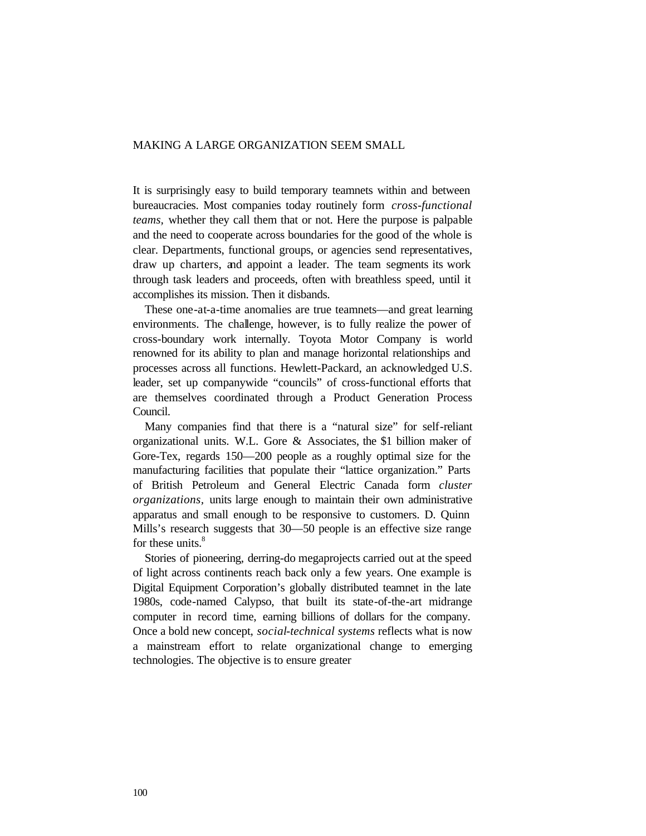## MAKING A LARGE ORGANIZATION SEEM SMALL

It is surprisingly easy to build temporary teamnets within and between bureaucracies. Most companies today routinely form *cross-functional teams,* whether they call them that or not. Here the purpose is palpable and the need to cooperate across boundaries for the good of the whole is clear. Departments, functional groups, or agencies send representatives, draw up charters, and appoint a leader. The team segments its work through task leaders and proceeds, often with breathless speed, until it accomplishes its mission. Then it disbands.

These one-at-a-time anomalies are true teamnets—and great learning environments. The challenge, however, is to fully realize the power of cross-boundary work internally. Toyota Motor Company is world renowned for its ability to plan and manage horizontal relationships and processes across all functions. Hewlett-Packard, an acknowledged U.S. leader, set up companywide "councils" of cross-functional efforts that are themselves coordinated through a Product Generation Process Council.

Many companies find that there is a "natural size" for self-reliant organizational units. W.L. Gore & Associates, the \$1 billion maker of Gore-Tex, regards 150—200 people as a roughly optimal size for the manufacturing facilities that populate their "lattice organization." Parts of British Petroleum and General Electric Canada form *cluster organizations,* units large enough to maintain their own administrative apparatus and small enough to be responsive to customers. D. Quinn Mills's research suggests that 30—50 people is an effective size range for these units.<sup>8</sup>

Stories of pioneering, derring-do megaprojects carried out at the speed of light across continents reach back only a few years. One example is Digital Equipment Corporation's globally distributed teamnet in the late 1980s, code-named Calypso, that built its state-of-the-art midrange computer in record time, earning billions of dollars for the company. Once a bold new concept, *social-technical systems* reflects what is now a mainstream effort to relate organizational change to emerging technologies. The objective is to ensure greater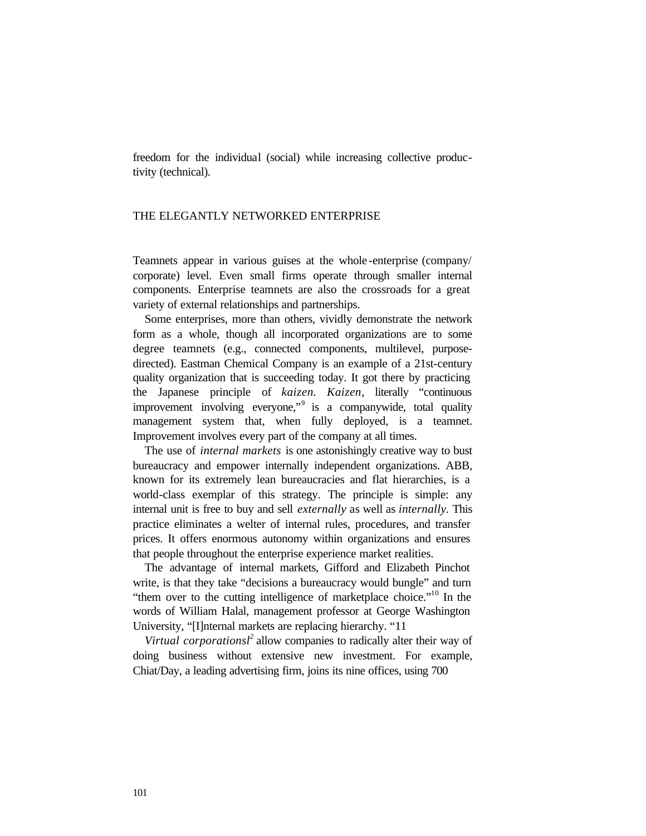freedom for the individual (social) while increasing collective productivity (technical).

## THE ELEGANTLY NETWORKED ENTERPRISE

Teamnets appear in various guises at the whole -enterprise (company/ corporate) level. Even small firms operate through smaller internal components. Enterprise teamnets are also the crossroads for a great variety of external relationships and partnerships.

Some enterprises, more than others, vividly demonstrate the network form as a whole, though all incorporated organizations are to some degree teamnets (e.g., connected components, multilevel, purposedirected). Eastman Chemical Company is an example of a 21st-century quality organization that is succeeding today. It got there by practicing the Japanese principle of *kaizen. Kaizen,* literally "continuous improvement involving everyone,"<sup>9</sup> is a companywide, total quality management system that, when fully deployed, is a teamnet. Improvement involves every part of the company at all times.

The use of *internal markets* is one astonishingly creative way to bust bureaucracy and empower internally independent organizations. ABB, known for its extremely lean bureaucracies and flat hierarchies, is a world-class exemplar of this strategy. The principle is simple: any internal unit is free to buy and sell *externally* as well as *internally.* This practice eliminates a welter of internal rules, procedures, and transfer prices. It offers enormous autonomy within organizations and ensures that people throughout the enterprise experience market realities.

The advantage of internal markets, Gifford and Elizabeth Pinchot write, is that they take "decisions a bureaucracy would bungle" and turn "them over to the cutting intelligence of marketplace choice."<sup>10</sup> In the words of William Halal, management professor at George Washington University, "[I]nternal markets are replacing hierarchy. "11

*Virtual corporationsl<sup>2</sup>*allow companies to radically alter their way of doing business without extensive new investment. For example, Chiat/Day, a leading advertising firm, joins its nine offices, using 700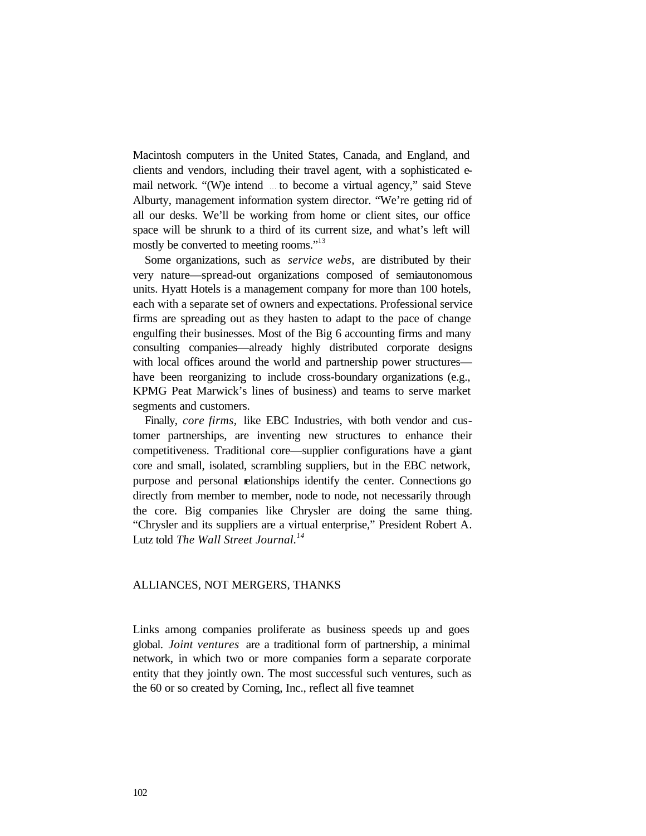Macintosh computers in the United States, Canada, and England, and clients and vendors, including their travel agent, with a sophisticated email network. "(W)e intend ... to become a virtual agency," said Steve Alburty, management information system director. "We're getting rid of all our desks. We'll be working from home or client sites, our office space will be shrunk to a third of its current size, and what's left will mostly be converted to meeting rooms."<sup>13</sup>

Some organizations, such as *service webs,* are distributed by their very nature—spread-out organizations composed of semiautonomous units. Hyatt Hotels is a management company for more than 100 hotels, each with a separate set of owners and expectations. Professional service firms are spreading out as they hasten to adapt to the pace of change engulfing their businesses. Most of the Big 6 accounting firms and many consulting companies—already highly distributed corporate designs with local offices around the world and partnership power structures have been reorganizing to include cross-boundary organizations (e.g., KPMG Peat Marwick's lines of business) and teams to serve market segments and customers.

Finally, *core firms*, like EBC Industries, with both vendor and customer partnerships, are inventing new structures to enhance their competitiveness. Traditional core—supplier configurations have a giant core and small, isolated, scrambling suppliers, but in the EBC network, purpose and personal relationships identify the center. Connections go directly from member to member, node to node, not necessarily through the core. Big companies like Chrysler are doing the same thing. "Chrysler and its suppliers are a virtual enterprise," President Robert A. Lutz told *The Wall Street Journal.<sup>14</sup>*

## ALLIANCES, NOT MERGERS, THANKS

Links among companies proliferate as business speeds up and goes global. *Joint ventures* are a traditional form of partnership, a minimal network, in which two or more companies form a separate corporate entity that they jointly own. The most successful such ventures, such as the 60 or so created by Corning, Inc., reflect all five teamnet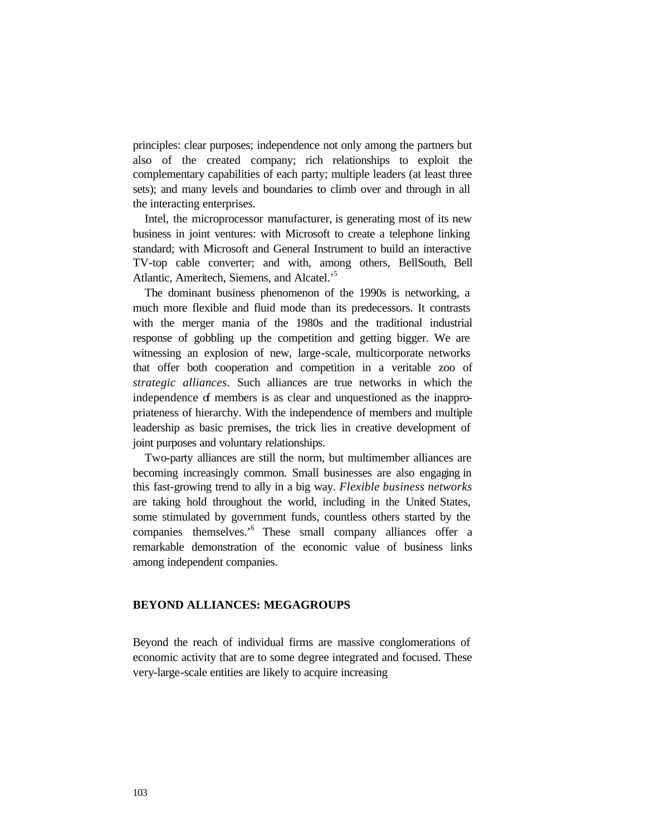principles: clear purposes; independence not only among the partners but also of the created company; rich relationships to exploit the complementary capabilities of each party; multiple leaders (at least three sets); and many levels and boundaries to climb over and through in all the interacting enterprises.

Intel, the microprocessor manufacturer, is generating most of its new business in joint ventures: with Microsoft to create a telephone linking standard; with Microsoft and General Instrument to build an interactive TV-top cable converter; and with, among others, BellSouth, Bell Atlantic, Ameritech, Siemens, and Alcatel.'<sup>5</sup>

The dominant business phenomenon of the 1990s is networking, a much more flexible and fluid mode than its predecessors. It contrasts with the merger mania of the 1980s and the traditional industrial response of gobbling up the competition and getting bigger. We are witnessing an explosion of new, large-scale, multicorporate networks that offer both cooperation and competition in a veritable zoo of *strategic alliances.* Such alliances are true networks in which the independence of members is as clear and unquestioned as the inappropriateness of hierarchy. With the independence of members and multiple leadership as basic premises, the trick lies in creative development of joint purposes and voluntary relationships.

Two-party alliances are still the norm, but multimember alliances are becoming increasingly common. Small businesses are also engaging in this fast-growing trend to ally in a big way. *Flexible business networks*  are taking hold throughout the world, including in the United States, some stimulated by government funds, countless others started by the companies themselves.<sup>5</sup> These small company alliances offer a remarkable demonstration of the economic value of business links among independent companies.

## **BEYOND ALLIANCES: MEGAGROUPS**

Beyond the reach of individual firms are massive conglomerations of economic activity that are to some degree integrated and focused. These very-large-scale entities are likely to acquire increasing